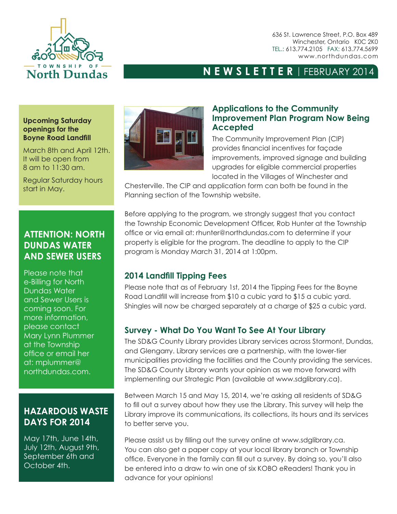

636 St. Lawrence Street, P.O. Box 489 Winchester, Ontario K0C 2K0 TEL.: 613.774.2105 FAX: 613.774.5699 www.northdundas.com

## **NEWSLETTER** | FEBRUARY 2014

#### **Upcoming Saturday openings for the Boyne Road Landfill**

March 8th and April 12th. It will be open from 8 am to 11:30 am.

Regular Saturday hours start in May.

## **ATTENTION: NORTH DUNDAS WATER AND SEWER USERS**

Please note that e-Billing for North Dundas Water and Sewer Users is coming soon. For more information, please contact Mary Lynn Plummer at the Township office or email her at: mplummer@ northdundas.com.

## **HAZARDOUS WASTE DAYS FOR 2014**

May 17th, June 14th, July 12th, August 9th, September 6th and October 4th.



#### **Applications to the Community Improvement Plan Program Now Being Accepted**

The Community Improvement Plan (CIP) provides financial incentives for façade improvements, improved signage and building upgrades for eligible commercial properties located in the Villages of Winchester and

Chesterville. The CIP and application form can both be found in the Planning section of the Township website.

Before applying to the program, we strongly suggest that you contact the Township Economic Development Officer, Rob Hunter at the Township office or via email at: rhunter@northdundas.com to determine if your property is eligible for the program. The deadline to apply to the CIP program is Monday March 31, 2014 at 1:00pm.

## **2014 Landfill Tipping Fees**

Please note that as of February 1st, 2014 the Tipping Fees for the Boyne Road Landfill will increase from \$10 a cubic yard to \$15 a cubic yard. Shingles will now be charged separately at a charge of \$25 a cubic yard.

## **Survey - What Do You Want To See At Your Library**

The SD&G County Library provides Library services across Stormont, Dundas, and Glengarry. Library services are a partnership, with the lower-tier municipalities providing the facilities and the County providing the services. The SD&G County Library wants your opinion as we move forward with implementing our Strategic Plan (available at www.sdglibrary.ca).

Between March 15 and May 15, 2014, we're asking all residents of SD&G to fill out a survey about how they use the Library. This survey will help the Library improve its communications, its collections, its hours and its services to better serve you.

Please assist us by filling out the survey online at www.sdglibrary.ca. You can also get a paper copy at your local library branch or Township office. Everyone in the family can fill out a survey. By doing so, you'll also be entered into a draw to win one of six KOBO eReaders! Thank you in advance for your opinions!